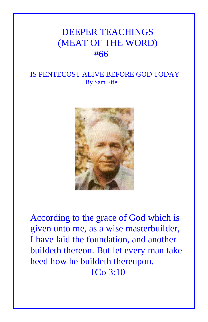## DEEPER TEACHINGS (MEAT OF THE WORD) #66

## IS PENTECOST ALIVE BEFORE GOD TODAY By Sam Fife



According to the grace of God which is given unto me, as a wise masterbuilder, I have laid the foundation, and another buildeth thereon. But let every man take heed how he buildeth thereupon. 1Co 3:10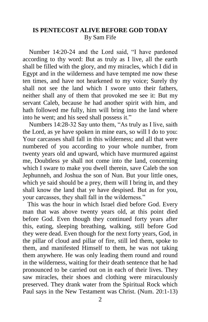## **IS PENTECOST ALIVE BEFORE GOD TODAY** By Sam Fife

 Number 14:20-24 and the Lord said, "I have pardoned according to thy word: But as truly as I live, all the earth shall be filled with the glory, and my miracles, which I did in Egypt and in the wilderness and have tempted me now these ten times, and have not hearkened to my voice; Surely thy shall not see the land which I swore unto their fathers, neither shall any of them that provoked me see it: But my servant Caleb, because he had another spirit with him, and hath followed me fully, him will bring into the land where into he went; and his seed shall possess it."

 Numbers 14:28-32 Say unto them, "As truly as I live, saith the Lord, as ye have spoken in mine ears, so will I do to you: Your carcasses shall fall in this wilderness; and all that were numbered of you according to your whole number, from twenty years old and upward, which have murmured against me, Doubtless ye shall not come into the land, concerning which I sware to make you dwell therein, save Caleb the son Jephunneh, and Joshua the son of Nun. But your little ones, which ye said should be a prey, them will I bring in, and they shall know the land that ye have despised. But as for you, your carcasses, they shall fall in the wilderness."

 This was the hour in which Israel died before God. Every man that was above twenty years old, at this point died before God. Even though they continued forty years after this, eating, sleeping breathing, walking, still before God they were dead. Even though for the next forty years, God, in the pillar of cloud and pillar of fire, still led them, spoke to them, and manifested Himself to them, he was not taking them anywhere. He was only leading them round and round in the wilderness, waiting for their death sentence that he had pronounced to be carried out on in each of their lives. They saw miracles, their shoes and clothing were miraculously preserved. They drank water from the Spiritual Rock which Paul says in the New Testament was Christ. (Num. 20:1-13)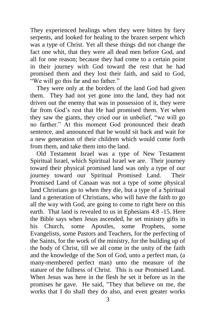They experienced healings when they were bitten by fiery serpents, and looked for healing to the brazen serpent which was a type of Christ. Yet all these things did not change the fact one whit, that they were all dead men before God, and all for one reason; because they had come to a certain point in their journey with God toward the rest that he had promised them and they lost their faith, and said to God, "We will go this far and no father."

 They were only at the borders of the land God had given them. They had not yet gone into the land, they had not driven out the enemy that was in possession of it, they were far from God's rest that He had promised them. Yet when they saw the giants, they cried our in unbelief, "we will go no farther." At this moment God pronounced their death sentence, and announced that he would sit back and wait for a new generation of their children which would come forth from them, and take them into the land.

 Old Testament Israel was a type of New Testament Spiritual Israel, which Spiritual Israel we are. Their journey toward their physical promised land was only a type of our journey toward our Spiritual Promised Land. Their Promised Land of Canaan was not a type of some physical land Christians go to when they die, but a type of a Spiritual land a generation of Christians, who will have the faith to go all the way with God, are going to come to right here on this earth. That land is revealed to us in Ephesians 4:8 -15. Here the Bible says when Jesus ascended, he set ministry gifts in his Church, some Apostles, some Prophets, some Evangelists, some Pastors and Teachers, for the perfecting of the Saints, for the work of the ministry, for the building up of the body of Christ, till we all come in the unity of the faith and the knowledge of the Son of God, unto a perfect man, (a many-membered perfect man) unto the measure of the stature of the fullness of Christ. This is our Promised Land. When Jesus was here in the flesh he set it before us in the promises he gave. He said, "They that believe on me, the works that I do shall they do also, and even greater works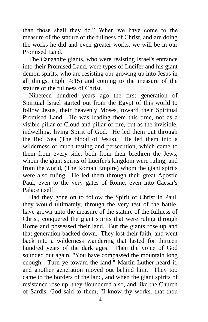than those shall they do." When we have come to the measure of the stature of the fullness of Christ, and are doing the works he did and even greater works, we will be in our Promised Land.

 The Canaanite giants, who were resisting Israel's entrance into their Promised Land, were types of Lucifer and his giant demon spirits, who are resisting our growing up into Jesus in all things, (Eph. 4:15) and coming to the measure of the stature of the fullness of Christ.

 Nineteen hundred years ago the first generation of Spiritual Israel started out from the Egypt of this world to follow Jesus, their heavenly Moses, toward their Spiritual Promised Land. He was leading them this time, not as a visible pillar of Cloud and pillar of fire, but as the invisible, indwelling, living Spirit of God. He led them out through the Red Sea (The blood of Jesus). He led them into a wilderness of much testing and persecution, which came to them from every side, both from their brethren the Jews, whom the giant spirits of Lucifer's kingdom were ruling, and from the world, (The Roman Empire) whom the giant spirits were also ruling. He led them through their great Apostle Paul, even to the very gates of Rome, even into Caesar's Palace itself.

 Had they gone on to follow the Spirit of Christ in Paul, they would ultimately, through the very test of the battle, have grown unto the measure of the stature of the fullness of Christ, conquered the giant spirits that were ruling through Rome and possessed their land. But the giants rose up and that generation backed down. They lost their faith, and went back into a wilderness wandering that lasted for thirteen hundred years of the dark ages. Then the voice of God sounded out again, "You have compassed the mountain long enough. Turn ye toward the land." Martin Luther heard it, and another generation moved out behind him. They too came to the borders of the land, and when the giant spirits of resistance rose up, they floundered also, and like the Church of Sardis, God said to them, "I know thy works, that thou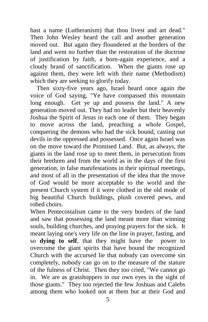hast a name (Lutheranism) that thou livest and art dead." Then John Wesley heard the call and another generation moved out. But again they floundered at the borders of the land and went no further than the restoration of the doctrine of justification by faith, a born-again experience, and a cloudy brand of sanctification. When the giants rose up against them, they were left with their name (Methodism) which they are seeking to glorify today.

 Then sixty-five years ago, Israel heard once again the voice of God saying, "Ye have compassed this mountain long enough. Get ye up and possess the land." A new generation moved out. They had no leader but their heavenly Joshua the Spirit of Jesus in each one of them. They began to move across the land, preaching a whole Gospel, conquering the demons who had the sick bound, casting out devils in the oppressed and possessed. Once again Israel was on the move toward the Promised Land. But, as always, the giants in the land rose up to meet them, in persecution from their brethren and from the world as in the days of the first generation, in false manifestations in their spiritual meetings, and most of all in the presentation of the idea that the move of God would be more acceptable to the world and the present Church system if it were clothed in the old mode of big beautiful Church buildings, plush covered pews, and robed choirs.

When Pentecostalism came to the very borders of the land and saw that possessing the land meant more than winning souls, building churches, and praying prayers for the sick. It meant laying one's very life on the line in prayer, fasting, and so **dying to self**, that they might have the power to overcome the giant spirits that have bound the recognized Church with the accursed lie that nobody can overcome sin completely, nobody can go on to the measure of the stature of the fulness of Christ. Then they too cried, "We cannot go in. We are as grasshoppers in our own eyes in the sight of those giants." They too rejected the few Joshuas and Calebs among them who looked not at them but at their God and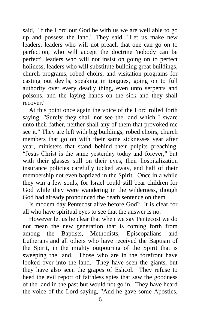said, "If the Lord our God be with us we are well able to go up and possess the land." They said, "Let us make new leaders, leaders who will not preach that one can go on to perfection, who will accept the doctrine 'nobody can be perfect', leaders who will not insist on going on to perfect holiness, leaders who will substitute building great buildings, church programs, robed choirs, and visitation programs for casting out devils, speaking in tongues, going on to full authority over every deadly thing, even unto serpents and poisons, and the laying hands on the sick and they shall recover."

 At this point once again the voice of the Lord rolled forth saying, "Surely they shall not see the land which I sware unto their father, neither shall any of them that provoked me see it." They are left with big buildings, robed choirs, church members that go on with their same sicknesses year after year, ministers that stand behind their pulpits preaching, "Jesus Christ is the same yesterday today and forever," but with their glasses still on their eyes, their hospitalization insurance policies carefully tucked away, and half of their membership not even baptized in the Spirit. Once in a while they win a few souls, for Israel could still bear children for God while they were wandering in the wilderness, though God had already pronounced the death sentence on them.

 Is modem day Pentecost alive before God? It is clear for all who have spiritual eyes to see that the answer is no.

 However let us be clear that when we say Pentecost we do not mean the new generation that is coming forth from among the Baptists, Methodists, Episcopalians and Lutherans and all others who have received the Baptism of the Spirit, in the mighty outpouring of the Spirit that is sweeping the land. Those who are in the forefront have looked over into the land. They have seen the giants, but they have also seen the grapes of Eshcol. They refuse to heed the evil report of faithless spies that saw the goodness of the land in the past but would not go in. They have heard the voice of the Lord saying, "And he gave some Apostles,